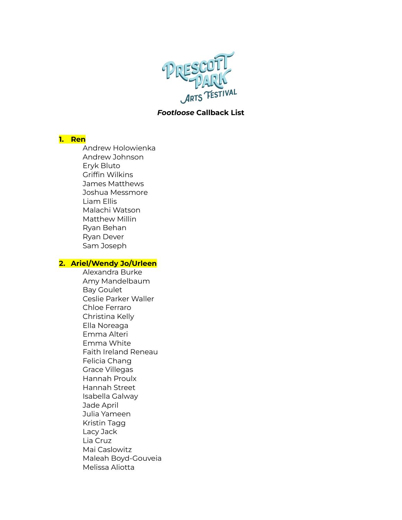

# *Footloose* **Callback List**

#### **1. Ren**

Andrew Holowienka Andrew Johnson Eryk Bluto Griffin Wilkins James Matthews Joshua Messmore Liam Ellis Malachi Watson Matthew Millin Ryan Behan Ryan Dever Sam Joseph

### **2. Ariel/Wendy Jo/Urleen**

Alexandra Burke Amy Mandelbaum Bay Goulet Ceslie Parker Waller Chloe Ferraro Christina Kelly Ella Noreaga Emma Alteri Emma White Faith Ireland Reneau Felicia Chang Grace Villegas Hannah Proulx Hannah Street Isabella Galway Jade April Julia Yameen Kristin Tagg Lacy Jack Lia Cruz Mai Caslowitz Maleah Boyd-Gouveia Melissa Aliotta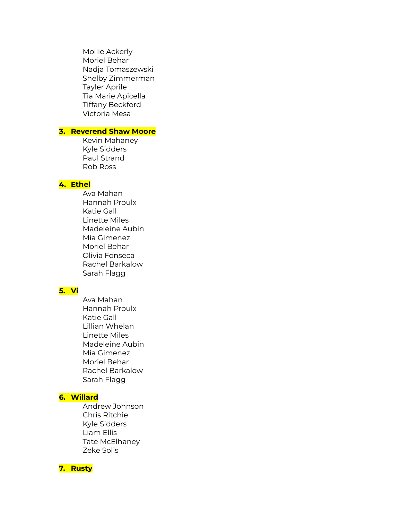Mollie Ackerly Moriel Behar Nadja Tomaszewski Shelby Zimmerman Tayler Aprile Tia Marie Apicella Tiffany Beckford Victoria Mesa

# **3. Reverend Shaw Moore**

Kevin Mahaney Kyle Sidders Paul Strand Rob Ross

### **4. Ethel**

Ava Mahan Hannah Proulx Katie Gall Linette Miles Madeleine Aubin Mia Gimenez Moriel Behar Olivia Fonseca Rachel Barkalow Sarah Flagg

# **5. Vi**

Ava Mahan Hannah Proulx Katie Gall Lillian Whelan Linette Miles Madeleine Aubin Mia Gimenez Moriel Behar Rachel Barkalow Sarah Flagg

### **6. Willard**

Andrew Johnson Chris Ritchie Kyle Sidders Liam Ellis Tate McElhaney Zeke Solis

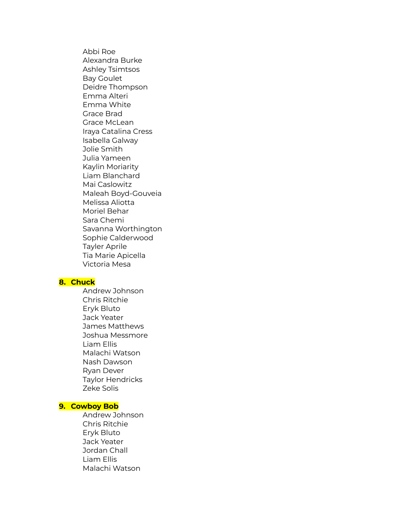Abbi Roe Alexandra Burke Ashley Tsimtsos Bay Goulet Deidre Thompson Emma Alteri Emma White Grace Brad Grace McLean Iraya Catalina Cress Isabella Galway Jolie Smith Julia Yameen Kaylin Moriarity Liam Blanchard Mai Caslowitz Maleah Boyd-Gouveia Melissa Aliotta Moriel Behar Sara Chemi Savanna Worthington Sophie Calderwood Tayler Aprile Tia Marie Apicella Victoria Mesa

### **8. Chuck**

Andrew Johnson Chris Ritchie Eryk Bluto Jack Yeater James Matthews Joshua Messmore Liam Ellis Malachi Watson Nash Dawson Ryan Dever Taylor Hendricks Zeke Solis

#### **9. Cowboy Bob**

Andrew Johnson Chris Ritchie Eryk Bluto Jack Yeater Jordan Chall Liam Ellis Malachi Watson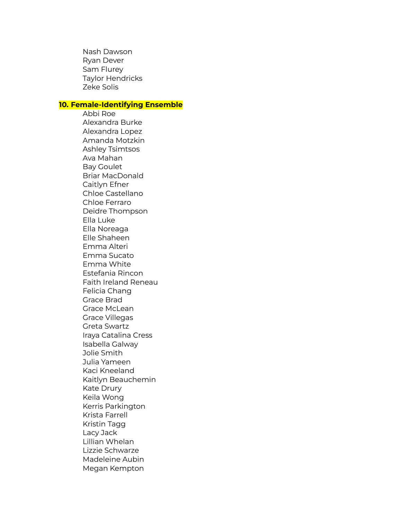Nash Dawson Ryan Dever Sam Flurey Taylor Hendricks Zeke Solis

# **10. Female-Identifying Ensemble**

Abbi Roe Alexandra Burke Alexandra Lopez Amanda Motzkin Ashley Tsimtsos Ava Mahan Bay Goulet Briar MacDonald Caitlyn Efner Chloe Castellano Chloe Ferraro Deidre Thompson Ella Luke Ella Noreaga Elle Shaheen Emma Alteri Emma Sucato Emma White Estefania Rincon Faith Ireland Reneau Felicia Chang Grace Brad Grace McLean Grace Villegas Greta Swartz Iraya Catalina Cress Isabella Galway Jolie Smith Julia Yameen Kaci Kneeland Kaitlyn Beauchemin Kate Drury Keila Wong Kerris Parkington Krista Farrell Kristin Tagg Lacy Jack Lillian Whelan Lizzie Schwarze Madeleine Aubin Megan Kempton